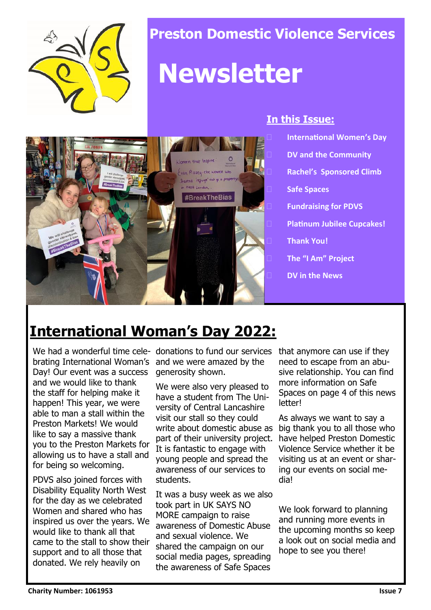

### **Preston Domestic Violence Services**

# **Newsletter**



#### **In this Issue:**

- **International Women's Day**
- **DV and the Community**
- **Rachel's Sponsored Climb**
- **Safe Spaces**
- **Fundraising for PDVS**
- **Platinum Jubilee Cupcakes!**
- **Thank You!**
- **The "I Am" Project**
- **DV in the News**

## **International Woman's Day 2022:**

We had a wonderful time cele-donations to fund our services brating International Woman's Day! Our event was a success and we would like to thank the staff for helping make it happen! This year, we were able to man a stall within the Preston Markets! We would like to say a massive thank you to the Preston Markets for allowing us to have a stall and for being so welcoming.

PDVS also joined forces with Disability Equality North West for the day as we celebrated Women and shared who has inspired us over the years. We would like to thank all that came to the stall to show their support and to all those that donated. We rely heavily on

and we were amazed by the generosity shown.

We were also very pleased to have a student from The University of Central Lancashire visit our stall so they could part of their university project. It is fantastic to engage with young people and spread the awareness of our services to students.

It was a busy week as we also took part in UK SAYS NO MORE campaign to raise awareness of Domestic Abuse and sexual violence. We shared the campaign on our social media pages, spreading the awareness of Safe Spaces

that anymore can use if they need to escape from an abusive relationship. You can find more information on Safe Spaces on page 4 of this news letter!

write about domestic abuse as big thank you to all those who As always we want to say a have helped Preston Domestic Violence Service whether it be visiting us at an event or sharing our events on social media!

> We look forward to planning and running more events in the upcoming months so keep a look out on social media and hope to see you there!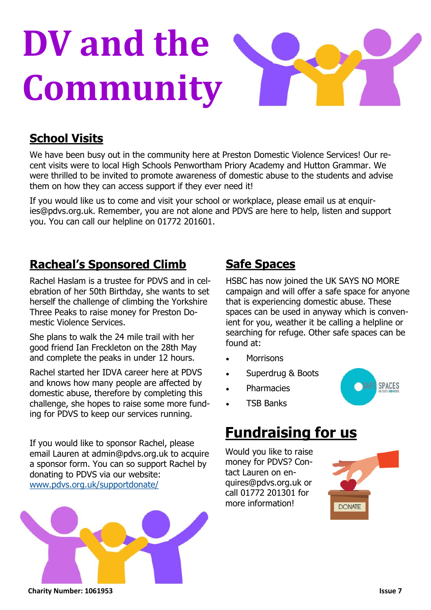# **DV and the Community**

#### **School Visits**

We have been busy out in the community here at Preston Domestic Violence Services! Our recent visits were to local High Schools Penwortham Priory Academy and Hutton Grammar. We were thrilled to be invited to promote awareness of domestic abuse to the students and advise them on how they can access support if they ever need it!

If you would like us to come and visit your school or workplace, please email us at enquiries@pdvs.org.uk. Remember, you are not alone and PDVS are here to help, listen and support you. You can call our helpline on 01772 201601.

#### **Racheal's Sponsored Climb**

Rachel Haslam is a trustee for PDVS and in celebration of her 50th Birthday, she wants to set herself the challenge of climbing the Yorkshire Three Peaks to raise money for Preston Domestic Violence Services.

She plans to walk the 24 mile trail with her good friend Ian Freckleton on the 28th May and complete the peaks in under 12 hours.

Rachel started her IDVA career here at PDVS and knows how many people are affected by domestic abuse, therefore by completing this challenge, she hopes to raise some more funding for PDVS to keep our services running.

If you would like to sponsor Rachel, please email Lauren at admin@pdvs.org.uk to acquire a sponsor form. You can so support Rachel by donating to PDVS via our website: [www.pdvs.org.uk/supportdonate/](http://www.pdvs.org.uk/supportdonate/)



### **Safe Spaces**

HSBC has now joined the UK SAYS NO MORE campaign and will offer a safe space for anyone that is experiencing domestic abuse. These spaces can be used in anyway which is convenient for you, weather it be calling a helpline or searching for refuge. Other safe spaces can be found at:

- **Morrisons**
- Superdrug & Boots

• TSB Banks

**Pharmacies** 



## **Fundraising for us**

Would you like to raise money for PDVS? Contact Lauren on enquires@pdvs.org.uk or call 01772 201301 for more information!

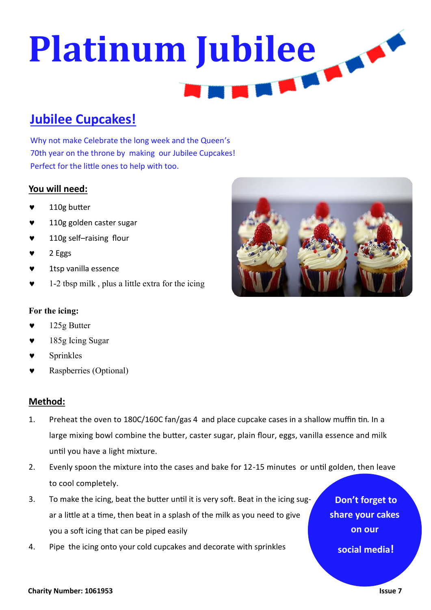# **Platinum Jubilee TELESCO**

#### **Jubilee Cupcakes!**

Why not make Celebrate the long week and the Queen's 70th year on the throne by making our Jubilee Cupcakes! Perfect for the little ones to help with too.

#### **You will need:**

- 110g butter
- 110g golden caster sugar
- 110g self–raising flour
- 2 Eggs
- 1tsp vanilla essence
- 1-2 tbsp milk , plus a little extra for the icing

#### **For the icing:**

- 125g Butter
- 185g Icing Sugar
- Sprinkles
- Raspberries (Optional)

#### **Method:**

- 1. Preheat the oven to 180C/160C fan/gas 4 and place cupcake cases in a shallow muffin tin. In a large mixing bowl combine the butter, caster sugar, plain flour, eggs, vanilla essence and milk until you have a light mixture.
- 2. Evenly spoon the mixture into the cases and bake for 12-15 minutes or until golden, then leave to cool completely.
- 3. To make the icing, beat the butter until it is very soft. Beat in the icing sugar a little at a time, then beat in a splash of the milk as you need to give you a soft icing that can be piped easily
- 4. Pipe the icing onto your cold cupcakes and decorate with sprinkles



**Don't forget to** 

**share your cakes** 

**on our**

**social media!**